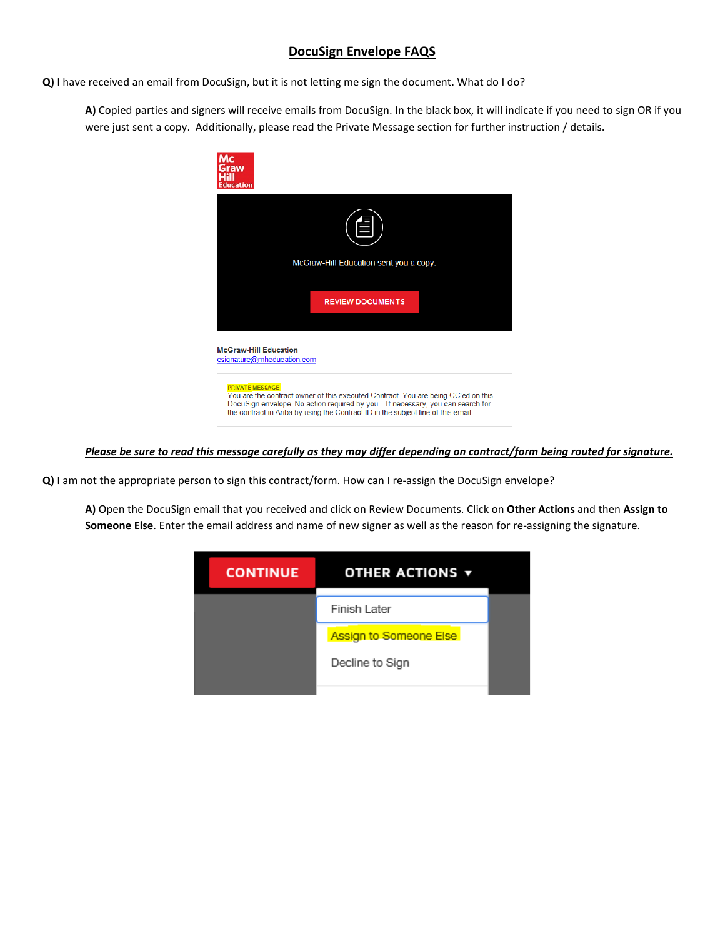## **DocuSign Envelope FAQS**

**Q)** I have received an email from DocuSign, but it is not letting me sign the document. What do I do?

**A)** Copied parties and signers will receive emails from DocuSign. In the black box, it will indicate if you need to sign OR if you were just sent a copy. Additionally, please read the Private Message section for further instruction / details.



*Please be sure to read this message carefully as they may differ depending on contract/form being routed for signature.*

**Q)** I am not the appropriate person to sign this contract/form. How can I re-assign the DocuSign envelope?

**A)** Open the DocuSign email that you received and click on Review Documents. Click on **Other Actions** and then **Assign to Someone Else**. Enter the email address and name of new signer as well as the reason for re-assigning the signature.